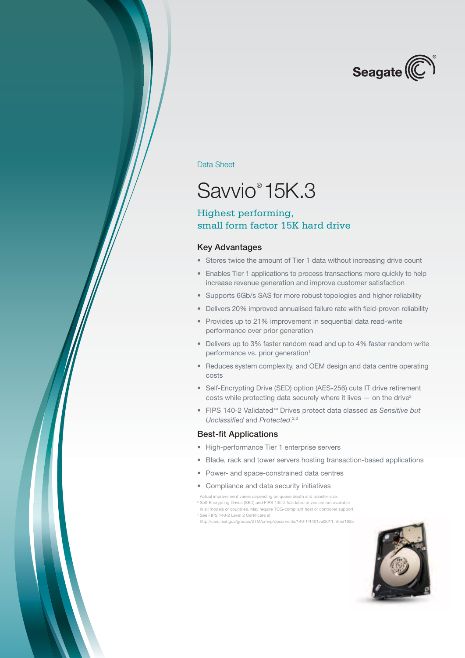

Data Sheet

## Savvio® 15K.3

### Highest performing, small form factor 15K hard drive

#### Key Advantages

- Stores twice the amount of Tier 1 data without increasing drive count
- Enables Tier 1 applications to process transactions more quickly to help increase revenue generation and improve customer satisfaction
- Supports 6Gb/s SAS for more robust topologies and higher reliability
- Delivers 20% improved annualised failure rate with field-proven reliability
- Provides up to 21% improvement in sequential data read-write performance over prior generation
- Delivers up to 3% faster random read and up to 4% faster random write performance vs. prior generation<sup>1</sup>
- Reduces system complexity, and OEM design and data centre operating costs
- Self-Encrypting Drive (SED) option (AES-256) cuts IT drive retirement costs while protecting data securely where it lives  $-$  on the drive<sup>2</sup>
- • FIPS 140-2 Validated™ Drives protect data classed as *Sensitive but Unclassified* and *Protected*. 2,3

#### Best-fit Applications

- • High-performance Tier 1 enterprise servers
- Blade, rack and tower servers hosting transaction-based applications
- • Power- and space-constrained data centres
- • Compliance and data security initiatives
- <sup>1</sup> Actual improvement varies depending on queue depth and transfer size.
- 2 Self-Encrypting Drives (SED) and FIPS 140-2 Validated drives are not available in all models or countries. May require TCG-compliant host or controller support.
- 3 See FIPS 140-2 Level 2 Certificate at
- http://csrc.nist.gov/groups/STM/cmvp/documents/140-1/1401val2011.htm#1635